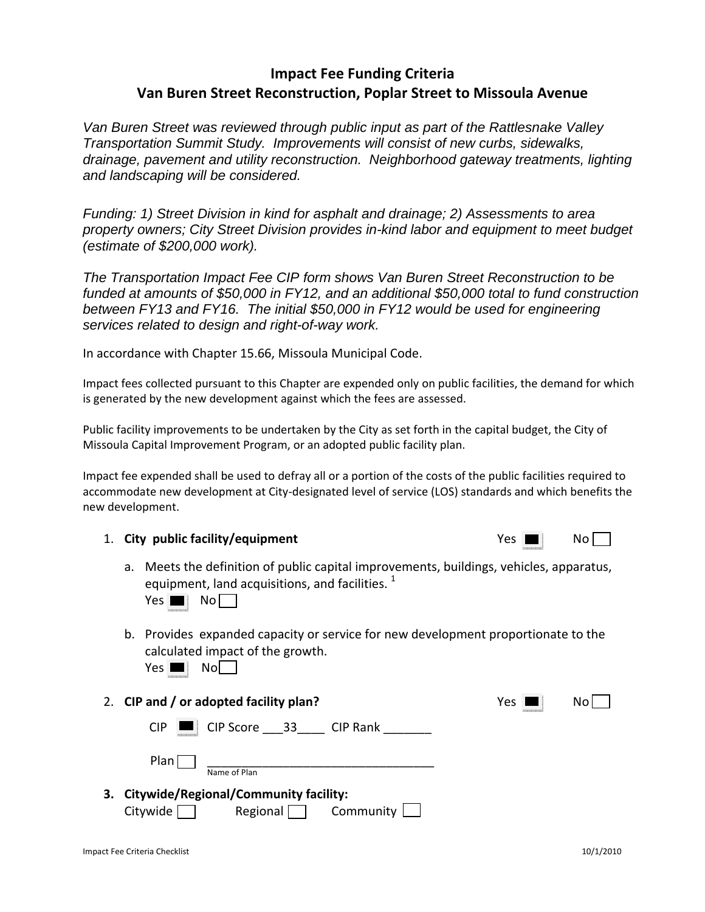## **Impact Fee Funding Criteria Van Buren Street Reconstruction, Poplar Street to Missoula Avenue**

*Van Buren Street was reviewed through public input as part of the Rattlesnake Valley Transportation Summit Study. Improvements will consist of new curbs, sidewalks, drainage, pavement and utility reconstruction. Neighborhood gateway treatments, lighting and landscaping will be considered.* 

*Funding: 1) Street Division in kind for asphalt and drainage; 2) Assessments to area property owners; City Street Division provides in-kind labor and equipment to meet budget (estimate of \$200,000 work).* 

*The Transportation Impact Fee CIP form shows Van Buren Street Reconstruction to be funded at amounts of \$50,000 in FY12, and an additional \$50,000 total to fund construction between FY13 and FY16. The initial \$50,000 in FY12 would be used for engineering services related to design and right-of-way work.* 

In accordance with Chapter 15.66, Missoula Municipal Code.

Impact fees collected pursuant to this Chapter are expended only on public facilities, the demand for which is generated by the new development against which the fees are assessed.

Public facility improvements to be undertaken by the City as set forth in the capital budget, the City of Missoula Capital Improvement Program, or an adopted public facility plan.

Impact fee expended shall be used to defray all or a portion of the costs of the public facilities required to accommodate new development at City‐designated level of service (LOS) standards and which benefits the new development.

| 1. City public facility/equipment | Yes | No |
|-----------------------------------|-----|----|
|                                   |     |    |

| res |  | No |  |
|-----|--|----|--|
|-----|--|----|--|

a. Meets the definition of public capital improvements, buildings, vehicles, apparatus, equipment, land acquisitions, and facilities.  $1$ 

 $Yes \blacksquare \blacksquare$  No

b. Provides expanded capacity or service for new development proportionate to the calculated impact of the growth.

| ۱<br>г<br>۰.<br>۰.<br>., | distant distant dist<br><b>CONTRACTOR</b><br>www<br>٠<br>٠<br>$\sim$<br> | ٠<br>-<br>. .<br>۰. |  |  |
|--------------------------|--------------------------------------------------------------------------|---------------------|--|--|
|--------------------------|--------------------------------------------------------------------------|---------------------|--|--|

2. **CIP and / or adopted facility plan?** Yes No  $CIP$   $\Box$   $CIP$  Score  $\Box$  33  $\Box$  CIP Rank

 $Plan$   $\Box$ Name of Plan

**3. Citywide/Regional/Community facility:**  $Citywide \frown$  Regional Community L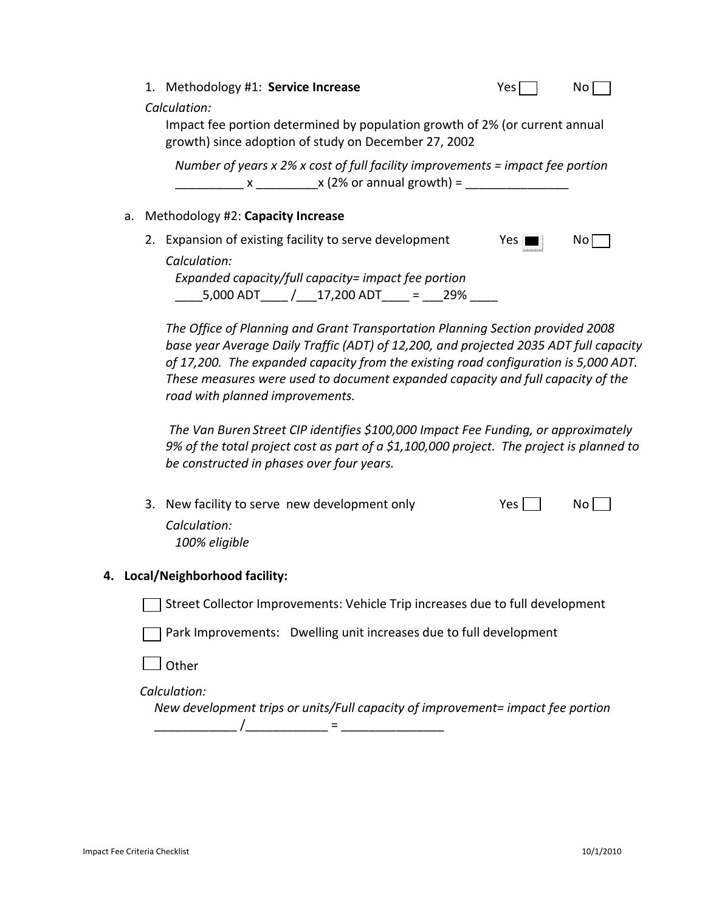|  |                                      | 1. Methodology #1: Service Increase                                                                                                                 | Yes.  | NO. |  |
|--|--------------------------------------|-----------------------------------------------------------------------------------------------------------------------------------------------------|-------|-----|--|
|  |                                      | Calculation:<br>Impact fee portion determined by population growth of 2% (or current annual<br>growth) since adoption of study on December 27, 2002 |       |     |  |
|  |                                      | Number of years $x$ 2% x cost of full facility improvements = impact fee portion<br>$x \times (2\% \text{ or annual growth}) =$                     |       |     |  |
|  | a. Methodology #2: Capacity Increase |                                                                                                                                                     |       |     |  |
|  |                                      | 2. Expansion of existing facility to serve development                                                                                              | Yes I | NO. |  |
|  |                                      | Calculation:                                                                                                                                        |       |     |  |
|  |                                      | Expanded capacity/full capacity= impact fee portion                                                                                                 |       |     |  |
|  |                                      | $5,000$ ADT $/$ 17,200 ADT = 29%                                                                                                                    |       |     |  |

*The Office of Planning and Grant Transportation Planning Section provided 2008 base year Average Daily Traffic (ADT) of 12,200, and projected 2035 ADT full capacity of 17,200. The expanded capacity from the existing road configuration is 5,000 ADT. These measures were used to document expanded capacity and full capacity of the road with planned improvements.* 

*The Van Buren Street CIP identifies \$100,000 Impact Fee Funding, or approximately 9% of the total project cost as part of a \$1,100,000 project. The project is planned to be constructed in phases over four years.*

| 3. New facility to serve new development only | $Yes$ | No l |
|-----------------------------------------------|-------|------|
| Calculation:                                  |       |      |
| 100% eligible                                 |       |      |

#### **4. Local/Neighborhood facility:**

Street Collector Improvements: Vehicle Trip increases due to full development

Park Improvements: Dwelling unit increases due to full development

 $\mathsf I$  Other

 $Calculation:$ 

 *New development trips or units/Full capacity of improvement= impact fee portion* \_\_\_\_\_\_\_\_\_\_\_\_ /\_\_\_\_\_\_\_\_\_\_\_\_ = \_\_\_\_\_\_\_\_\_\_\_\_\_\_\_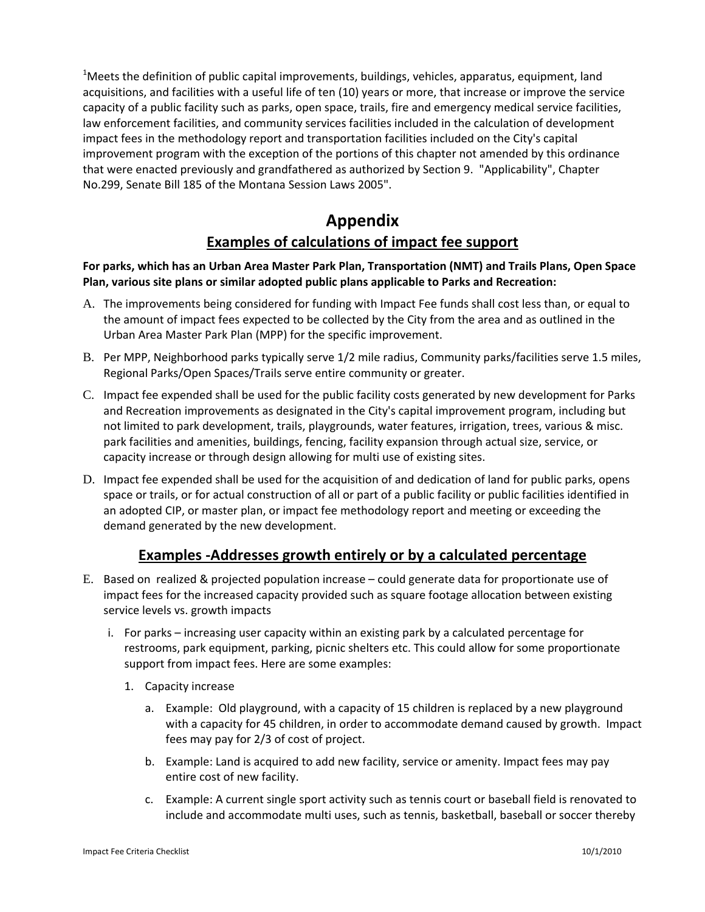$^{1}$ Meets the definition of public capital improvements, buildings, vehicles, apparatus, equipment, land acquisitions, and facilities with a useful life of ten (10) years or more, that increase or improve the service capacity of a public facility such as parks, open space, trails, fire and emergency medical service facilities, law enforcement facilities, and community services facilities included in the calculation of development impact fees in the methodology report and transportation facilities included on the City's capital improvement program with the exception of the portions of this chapter not amended by this ordinance that were enacted previously and grandfathered as authorized by Section 9. "Applicability", Chapter No.299, Senate Bill 185 of the Montana Session Laws 2005".

# **Appendix Examples of calculations of impact fee support**

#### **For parks, which has an Urban Area Master Park Plan, Transportation (NMT) and Trails Plans, Open Space Plan, various site plans or similar adopted public plans applicable to Parks and Recreation:**

- A. The improvements being considered for funding with Impact Fee funds shall cost less than, or equal to the amount of impact fees expected to be collected by the City from the area and as outlined in the Urban Area Master Park Plan (MPP) for the specific improvement.
- B. Per MPP, Neighborhood parks typically serve 1/2 mile radius, Community parks/facilities serve 1.5 miles, Regional Parks/Open Spaces/Trails serve entire community or greater.
- C. Impact fee expended shall be used for the public facility costs generated by new development for Parks and Recreation improvements as designated in the City's capital improvement program, including but not limited to park development, trails, playgrounds, water features, irrigation, trees, various & misc. park facilities and amenities, buildings, fencing, facility expansion through actual size, service, or capacity increase or through design allowing for multi use of existing sites.
- D. Impact fee expended shall be used for the acquisition of and dedication of land for public parks, opens space or trails, or for actual construction of all or part of a public facility or public facilities identified in an adopted CIP, or master plan, or impact fee methodology report and meeting or exceeding the demand generated by the new development.

## **Examples ‐Addresses growth entirely or by a calculated percentage**

- E. Based on realized & projected population increase could generate data for proportionate use of impact fees for the increased capacity provided such as square footage allocation between existing service levels vs. growth impacts
	- i. For parks increasing user capacity within an existing park by a calculated percentage for restrooms, park equipment, parking, picnic shelters etc. This could allow for some proportionate support from impact fees. Here are some examples:
		- 1. Capacity increase
			- a. Example: Old playground, with a capacity of 15 children is replaced by a new playground with a capacity for 45 children, in order to accommodate demand caused by growth. Impact fees may pay for 2/3 of cost of project.
			- b. Example: Land is acquired to add new facility, service or amenity. Impact fees may pay entire cost of new facility.
			- c. Example: A current single sport activity such as tennis court or baseball field is renovated to include and accommodate multi uses, such as tennis, basketball, baseball or soccer thereby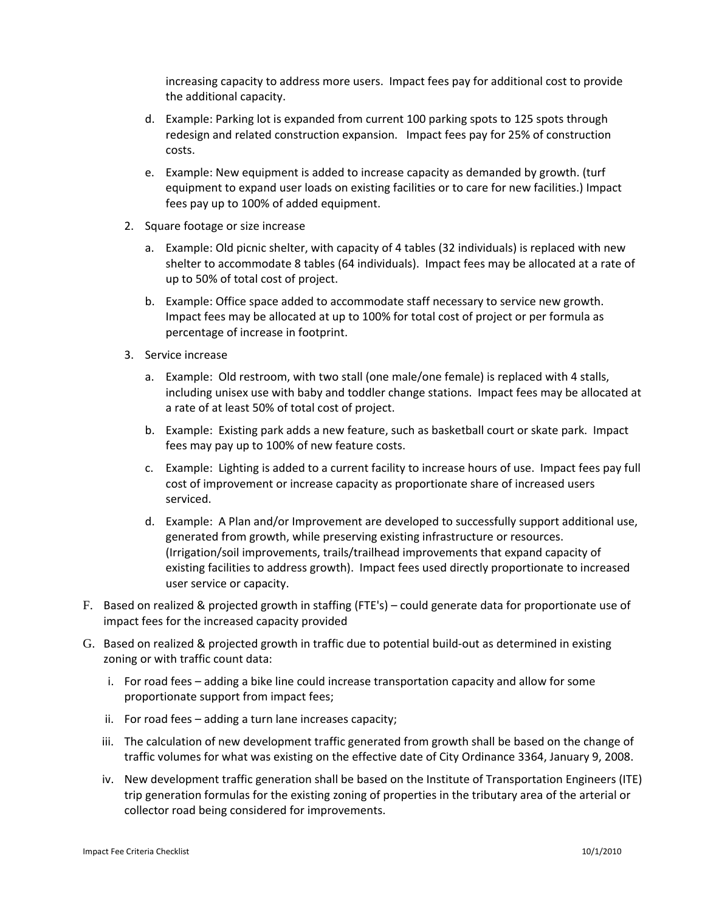increasing capacity to address more users. Impact fees pay for additional cost to provide the additional capacity.

- d. Example: Parking lot is expanded from current 100 parking spots to 125 spots through redesign and related construction expansion. Impact fees pay for 25% of construction costs.
- e. Example: New equipment is added to increase capacity as demanded by growth. (turf equipment to expand user loads on existing facilities or to care for new facilities.) Impact fees pay up to 100% of added equipment.
- 2. Square footage or size increase
	- a. Example: Old picnic shelter, with capacity of 4 tables (32 individuals) is replaced with new shelter to accommodate 8 tables (64 individuals). Impact fees may be allocated at a rate of up to 50% of total cost of project.
	- b. Example: Office space added to accommodate staff necessary to service new growth. Impact fees may be allocated at up to 100% for total cost of project or per formula as percentage of increase in footprint.
- 3. Service increase
	- a. Example: Old restroom, with two stall (one male/one female) is replaced with 4 stalls, including unisex use with baby and toddler change stations. Impact fees may be allocated at a rate of at least 50% of total cost of project.
	- b. Example: Existing park adds a new feature, such as basketball court or skate park. Impact fees may pay up to 100% of new feature costs.
	- c. Example: Lighting is added to a current facility to increase hours of use. Impact fees pay full cost of improvement or increase capacity as proportionate share of increased users serviced.
	- d. Example: A Plan and/or Improvement are developed to successfully support additional use, generated from growth, while preserving existing infrastructure or resources. (Irrigation/soil improvements, trails/trailhead improvements that expand capacity of existing facilities to address growth). Impact fees used directly proportionate to increased user service or capacity.
- F. Based on realized & projected growth in staffing (FTE's) could generate data for proportionate use of impact fees for the increased capacity provided
- G. Based on realized & projected growth in traffic due to potential build‐out as determined in existing zoning or with traffic count data:
	- i. For road fees adding a bike line could increase transportation capacity and allow for some proportionate support from impact fees;
	- ii. For road fees adding a turn lane increases capacity;
	- iii. The calculation of new development traffic generated from growth shall be based on the change of traffic volumes for what was existing on the effective date of City Ordinance 3364, January 9, 2008.
	- iv. New development traffic generation shall be based on the Institute of Transportation Engineers (ITE) trip generation formulas for the existing zoning of properties in the tributary area of the arterial or collector road being considered for improvements.